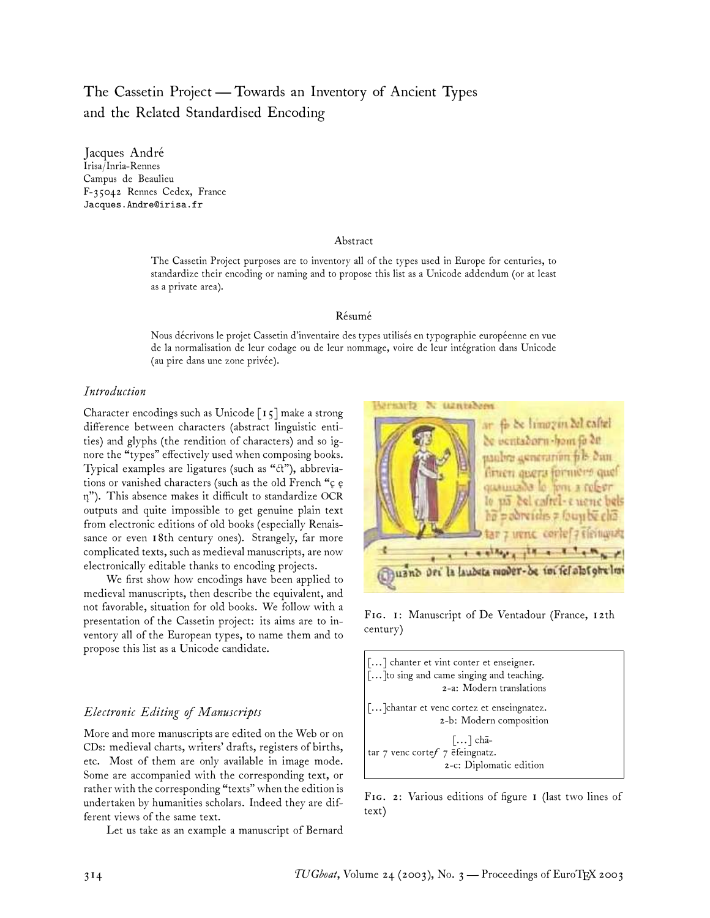# The Cassetin Project— Towards an Inventory of Ancient Types and the Related Standardised Encoding

Jacques André Irisa/Inria-Rennes Campus de Beaulieu F-35042 Rennes Cedex, France Jacques.Andre@irisa.fr

#### Abstract

The Cassetin Project purposes are to inventory all of the types used in Europe for centuries, to standardize their encoding or naming and to propose this list as a Unicode addendum (or at least as a private area).

### Résumé

Nous décrivons le projet Cassetin d'inventaire des types utilisés en typographie européenne en vue de la normalisation de leur codage ou de leur nommage, voire de leur intégration dans Unicode (au pire dans une zone privée).

### *Introduction*

Character encodings such as Unicode  $\lceil 15 \rceil$  make a strong difference between characters (abstract linguistic entities) and glyphs (the rendition of characters) and so ignore the "types" effectively used when composing books. Typical examples are ligatures (such as " $ct$ "), abbreviations or vanished characters (such as the old French "c e n"). This absence makes it difficult to standardize OCR outputs and quite impossible to get genuine plain text from electronic editions of old books (especially Renaissance or even 18th century ones). Strangely, far more complicated texts, such as medieval manuscripts, are now electronically editable thanks to encoding projects.

We first show how encodings have been applied to medieval manuscripts, then describe the equivalent, and not favorable, situation for old books. We follow with a presentation of the Cassetin project: its aims are to inventory all of the European types, to name them and to propose this list as a Unicode candidate.

### *Electronic Editing of Manuscripts*

More and more manuscripts are edited on the Web or on CDs: medieval charts, writers' drafts, registers of births, etc. Most of them are only available in image mode. Some are accompanied with the corresponding text, or rather with the corresponding "texts" when the edition is undertaken by humanities scholars. Indeed they are different views of the same text.

Let us take as an example a manuscript of Bernard



FIG. 1: Manuscript of De Ventadour (France, 12th century)



FIG. 2: Various editions of figure I (last two lines of text)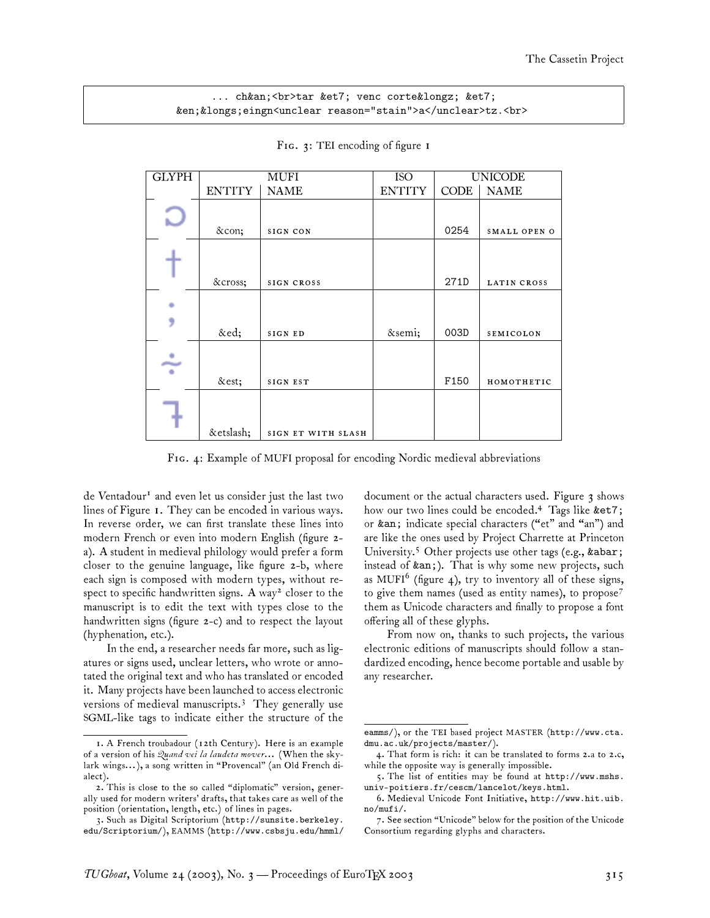### ... ch&an;<br>tar &et7; venc corte&longz; &et7; &en;&longs;eingn<unclear reason="stain">a</unclear>tz.<br>

| <b>GLYPH</b> |               | MUFI               | <b>ISO</b>    | <b>UNICODE</b> |              |  |
|--------------|---------------|--------------------|---------------|----------------|--------------|--|
|              | <b>ENTITY</b> | <b>NAME</b>        | <b>ENTITY</b> | <b>CODE</b>    | <b>NAME</b>  |  |
|              | &con          | SIGN CON           |               | 0254           | SMALL OPEN O |  |
|              | ✗             | SIGN CROSS         |               | 271D           | LATIN CROSS  |  |
|              | &ed           | SIGN ED            | ;             | 003D           | SEMICOLON    |  |
| ÷            | &est          | SIGN EST           |               | F150           | HOMOTHETIC   |  |
|              | &etslash      | SIGN ET WITH SLASH |               |                |              |  |

FIG. 3: TEI encoding of figure 1

FIG. 4: Example of MUFI proposal for encoding Nordic medieval abbreviations

de Ventadour<sup>1</sup> and even let us consider just the last two lines of Figure 1. They can be encoded in various ways. In reverse order, we can first translate these lines into modern French or even into modern English (figure 2 a). A student in medieval philology would prefer a form closer to the genuine language, like figure 2-b, where each sign is composed with modern types, without respect to specific handwritten signs. A way<sup>2</sup> closer to the manuscript is to edit the text with types close to the handwritten signs (figure 2-c) and to respect the layout (hyphenation, etc.).

In the end, a researcher needs far more, such as ligatures or signs used, unclear letters, who wrote or annotated the original text and who has translated or encoded it. Many projects have been launched to access electronic versions of medieval manuscripts.<sup>3</sup> They generally use SGML-like tags to indicate either the structure of the document or the actual characters used. Figure 3 shows how our two lines could be encoded.<sup>4</sup> Tags like &et7; or &an; indicate special characters ("et" and "an") and are like the ones used by Project Charrette at Princeton University.<sup>5</sup> Other projects use other tags (e.g., &abar; instead of &an;). That is why some new projects, such as MUFI $^6$  (figure 4), try to inventory all of these signs, to give them names (used as entity names), to propose<sup>7</sup> them as Unicode characters and finally to propose a font offering all of these glyphs.

From now on, thanks to such projects, the various electronic editions of manuscripts should follow a standardized encoding, hence become portable and usable by any researcher.

<sup>1.</sup> A French troubadour (12th Century). Here is an example of a version of his *Quand vei la laudeta mover...* (When the skylark wings... ), a song written in "Provencal" (an Old French dialect).

<sup>2.</sup> This is close to the so called "diplomatic" version, generally used for modern writers' drafts, that takes care as well of the position (orientation, length, etc.) of lines in pages.

<sup>3.</sup> Such as Digital Scriptorium (http://sunsite.berkeley. edu/Scriptorium/), EAMMS (http://www.csbsju.edu/hmml/

eamms/), or the TEI based project MASTER (http://www.cta. dmu.ac.uk/projects/master/).

<sup>4.</sup> That form is rich: it can be translated to forms 2.a to 2.c, while the opposite way is generally impossible.

<sup>5.</sup> The list of entities may be found at http://www.mshs. univ-poitiers.fr/cescm/lancelot/keys.html.

<sup>6.</sup> Medieval Unicode Font Initiative, http://www.hit.uib. no/mufi/.

<sup>7.</sup> See section "Unicode" below for the position of the Unicode Consortium regarding glyphs and characters.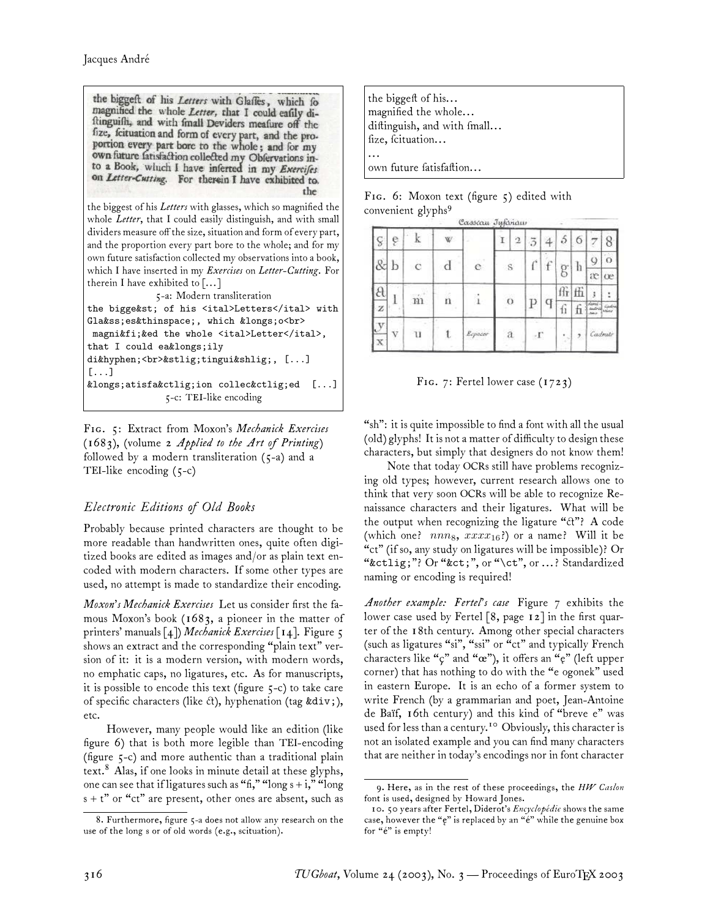the biggeft of his Letters with Glaffes, which fo magnified the whole Letter, that I could eafily diftinguifh, and with fmall Deviders meafure off the fize, fcituation and form of every part, and the proportion every part bore to the whole; and for my own future fatisfaction collected my Obfervations into a Book, which I have inferted in my Exercifes on Letter-Cutting. For therein I have exhibited to. the the biggest of his *Letters* with glasses, which so magnified the whole *Letter*, that I could easily distinguish, and with small dividers measure off the size, situation and form of every part, and the proportion every part bore to the whole; and for my own future satisfaction collected my observations into a book, which I have inserted in my *Exercises* on *Letter-Cutting*. For therein I have exhibited to [... ] 5-a: Modern transliteration the bigge&st; of his <ital>Letters</ital> with Gla&ss;es&thinspace;, which &longs;o<br> magni&fi; &ed the whole <ital>Letter</ital>,

that I could ea&longs;ily di‐<br>&stlig;tingui&shlig;, [...] [...] &longs;atisfa&ctlig;ion collec&ctlig;ed [...] 5-c: TEI-like encoding

F. 5: Extract from Moxon's *Mechanick Exercises* (1683), (volume 2 *Applied to the Art of Printing*) followed by a modern transliteration (5-a) and a TEI-like encoding (5-c)

# *Electronic Editions of Old Books*

Probably because printed characters are thought to be more readable than handwritten ones, quite often digitized books are edited as images and/or as plain text encoded with modern characters. If some other types are used, no attempt is made to standardize their encoding.

*Moxon's Mechanick Exercises* Let us consider first the famous Moxon's book (1683, a pioneer in the matter of printers' manuals [4]) *Mechanick Exercises* [14]. Figure 5 shows an extract and the corresponding "plain text" version of it: it is a modern version, with modern words, no emphatic caps, no ligatures, etc. As for manuscripts, it is possible to encode this text (figure 5-c) to take care of specific characters (like  $ct$ ), hyphenation (tag ÷), etc.

However, many people would like an edition (like figure 6) that is both more legible than TEI-encoding (figure 5-c) and more authentic than a traditional plain text.<sup>8</sup> Alas, if one looks in minute detail at these glyphs, one can see that if ligatures such as "fi," "long  $s + i$ ," "long"  $s + t$ " or "ct" are present, other ones are absent, such as

| the biggeft of his<br>magnified the whole<br>diftinguish, and with fmall<br>fize, fcituation |
|----------------------------------------------------------------------------------------------|
| own future fatisfaftion                                                                      |

FIG. 6: Moxon text (figure 5) edited with convenient glyphs<sup>9</sup> Corners Tubelow

| ç                 | ę |             | W |                                                                                     |  | n            | 3              | 4            | ð                           | 6    |          | 8       |
|-------------------|---|-------------|---|-------------------------------------------------------------------------------------|--|--------------|----------------|--------------|-----------------------------|------|----------|---------|
| &                 | b | $\tilde{c}$ | d | $\rm{e}$                                                                            |  | $\mathbf S$  | Ċ              | $\mathbf{f}$ |                             | h    | 9        | O       |
|                   |   |             |   |                                                                                     |  |              |                |              | g                           |      | $\alpha$ | œ       |
| θ                 |   |             |   |                                                                                     |  |              |                |              | ffr                         | ffi  | ŧ        | i       |
| z                 |   | m<br>n      |   | $\circ$                                                                             |  |              | 11             |              | domi<br>idra<br><b>Jons</b> | khor |          |         |
| $\mathbf{y}$<br>X | V | U           | t | $\label{eq:log2} \begin{aligned} \mathcal{E}^{c} & = \mathcal{E}^{c} \end{aligned}$ |  | $\mathbf{a}$ | $\cdot \Gamma$ |              |                             |      |          | Cadruti |

|  |  | F1G. 7: Fertel lower case $(1723)$ |  |
|--|--|------------------------------------|--|
|  |  |                                    |  |

"sh": it is quite impossible to find a font with all the usual (old) glyphs! It is not a matter of difficulty to design these characters, but simply that designers do not know them!

Note that today OCRs still have problems recognizing old types; however, current research allows one to think that very soon OCRs will be able to recognize Renaissance characters and their ligatures. What will be the output when recognizing the ligature " $\mathcal{X}$ "? A code (which one?  $nnn_8$ ,  $xxxx_{16}$ ?) or a name? Will it be "ct" (if so, any study on ligatures will be impossible)? Or "&ctlig;"? Or "&ct;", or "\ct", or ... ? Standardized naming or encoding is required!

*Another example: Fertel's case* Figure 7 exhibits the lower case used by Fertel [8, page 12] in the first quarter of the 18th century. Among other special characters (such as ligatures "si", "ssi" or "ct" and typically French characters like "ç" and "œ"), it offers an "ę" (left upper corner) that has nothing to do with the "e ogonek" used in eastern Europe. It is an echo of a former system to write French (by a grammarian and poet, Jean-Antoine de Baïf, 16th century) and this kind of "breve e" was used for less than a century.<sup>10</sup> Obviously, this character is not an isolated example and you can find many characters that are neither in today's encodings nor in font character

<sup>8.</sup> Furthermore, figure 5-a does not allow any research on the use of the long s or of old words (e.g., scituation).

<sup>9.</sup> Here, as in the rest of these proceedings, the *HW Caslon* font is used, designed by Howard Jones.

<sup>10. 50</sup> years after Fertel, Diderot's *Encyclopédie* shows the same case, however the "e" is replaced by an "e" while the genuine box for "é" is empty!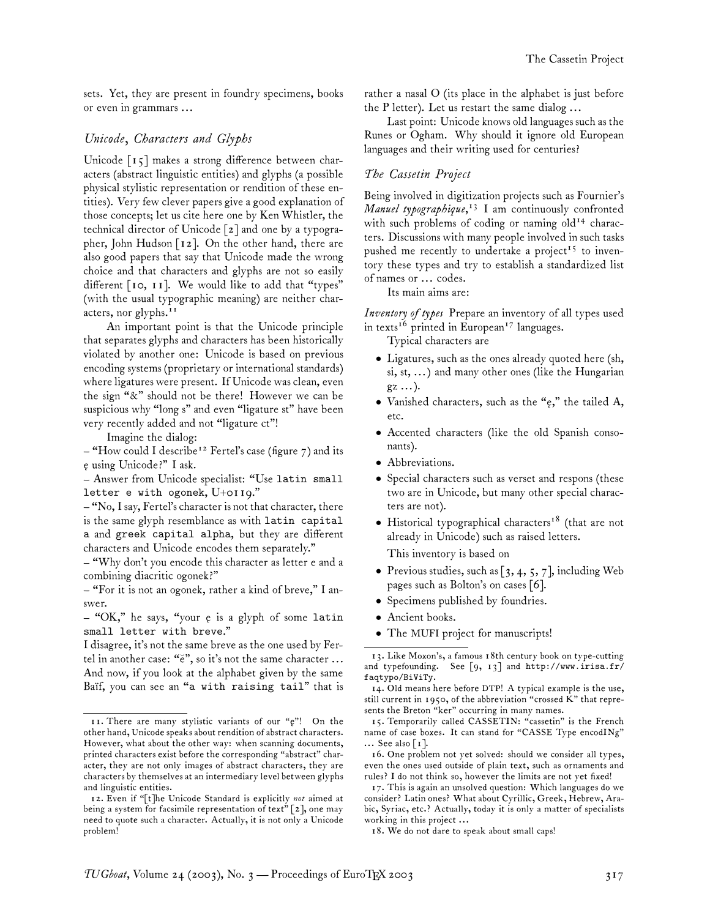sets. Yet, they are present in foundry specimens, books or even in grammars ...

### *Unicode, Characters and Glyphs*

Unicode [15] makes a strong difference between characters (abstract linguistic entities) and glyphs (a possible physical stylistic representation or rendition of these entities). Very few clever papers give a good explanation of those concepts; let us cite here one by Ken Whistler, the technical director of Unicode [2] and one by a typographer, John Hudson [12]. On the other hand, there are also good papers that say that Unicode made the wrong choice and that characters and glyphs are not so easily different [10, 11]. We would like to add that "types" (with the usual typographic meaning) are neither characters, nor glyphs.<sup>11</sup>

An important point is that the Unicode principle that separates glyphs and characters has been historically violated by another one: Unicode is based on previous encoding systems (proprietary or international standards) where ligatures were present. If Unicode was clean, even the sign "&" should not be there! However we can be suspicious why "long s" and even "ligature st" have been very recently added and not "ligature ct"!

Imagine the dialog:

- "How could I describe<sup>12</sup> Fertel's case (figure 7) and its e using Unicode?" I ask. **˛**

– Answer from Unicode specialist: "Use latin small letter e with ogonek, U+0119."

– "No, I say, Fertel's character is not that character, there is the same glyph resemblance as with latin capital a and greek capital alpha, but they are different characters and Unicode encodes them separately."

– "Why don't you encode this character as letter e and a combining diacritic ogonek?"

– "For it is not an ogonek, rather a kind of breve," I answer.

- "OK," he says, "your *e* is a glyph of some latin small letter with breve."

I disagree, it's not the same breve as the one used by Fertel in another case: "e", so it's not the same character ... And now, if you look at the alphabet given by the same Baïf, you can see an "a with raising tail" that is rather a nasal O (its place in the alphabet is just before the P letter). Let us restart the same dialog ...

Last point: Unicode knows old languages such as the Runes or Ogham. Why should it ignore old European languages and their writing used for centuries?

### *The Cassetin Project*

Being involved in digitization projects such as Fournier's *Manuel typographique*, <sup>13</sup> I am continuously confronted with such problems of coding or naming old<sup>14</sup> characters. Discussions with many people involved in such tasks pushed me recently to undertake a project<sup>15</sup> to inventory these types and try to establish a standardized list of names or ... codes.

Its main aims are:

*Inventory of types* Prepare an inventory of all types used in texts<sup>16</sup> printed in European<sup>17</sup> languages.

Typical characters are

- Ligatures, such as the ones already quoted here (sh, si, st, ... ) and many other ones (like the Hungarian  $gz \dots$ ).
- Vanished characters, such as the "e," the tailed A, **˛** etc.
- Accented characters (like the old Spanish consonants).
- Abbreviations.
- Special characters such as verset and respons (these two are in Unicode, but many other special characters are not).
- Historical typographical characters<sup>18</sup> (that are not already in Unicode) such as raised letters. This inventory is based on
- Previous studies, such as  $[3, 4, 5, 7]$ , including Web pages such as Bolton's on cases [6].
- Specimens published by foundries.
- Ancient books.
- The MUFI project for manuscripts!

<sup>11.</sup> There are many stylistic variants of our "e"! On the other hand, Unicode speaks about rendition of abstract characters. However, what about the other way: when scanning documents, printed characters exist before the corresponding "abstract" character, they are not only images of abstract characters, they are characters by themselves at an intermediary level between glyphs and linguistic entities.

<sup>12.</sup> Even if "[t]he Unicode Standard is explicitly *not* aimed at being a system for facsimile representation of text" [2], one may need to quote such a character. Actually, it is not only a Unicode problem!

<sup>13.</sup> Like Moxon's, a famous 18th century book on type-cutting and typefounding. See [9, 13] and http://www.irisa.fr/ faqtypo/BiViTy.

<sup>14.</sup> Old means here before DTP! A typical example is the use, still current in 1950, of the abbreviation "crossed K" that represents the Breton "ker" occurring in many names.

<sup>15.</sup> Temporarily called CASSETIN: "cassetin" is the French name of case boxes. It can stand for "CASSE Type encodINg"  $\ldots$  See also [1].

<sup>16.</sup> One problem not yet solved: should we consider all types, even the ones used outside of plain text, such as ornaments and rules? I do not think so, however the limits are not yet fixed!

<sup>17.</sup> This is again an unsolved question: Which languages do we consider? Latin ones? What about Cyrillic, Greek, Hebrew, Arabic, Syriac, etc.? Actually, today it is only a matter of specialists working in this project ...

<sup>18.</sup> We do not dare to speak about small caps!